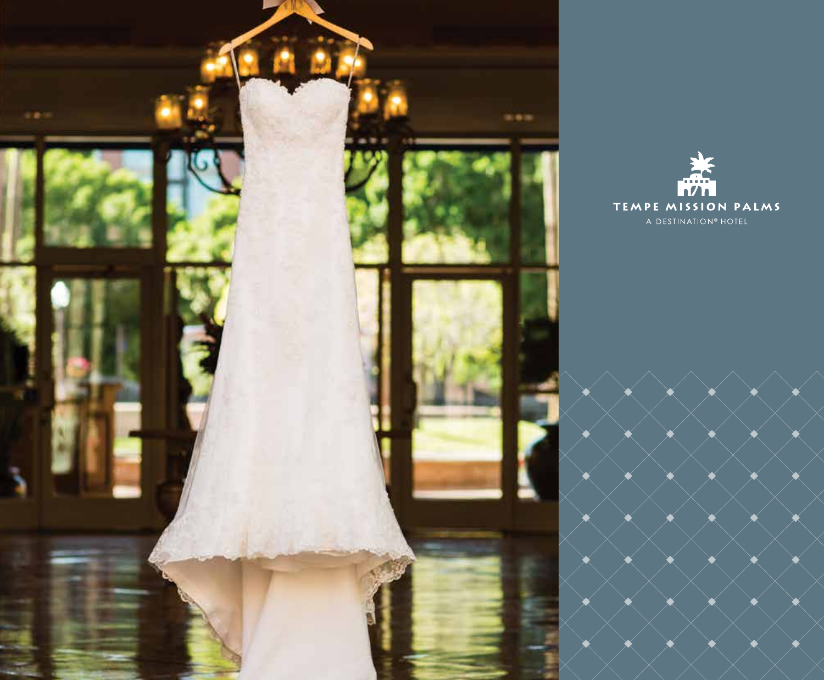

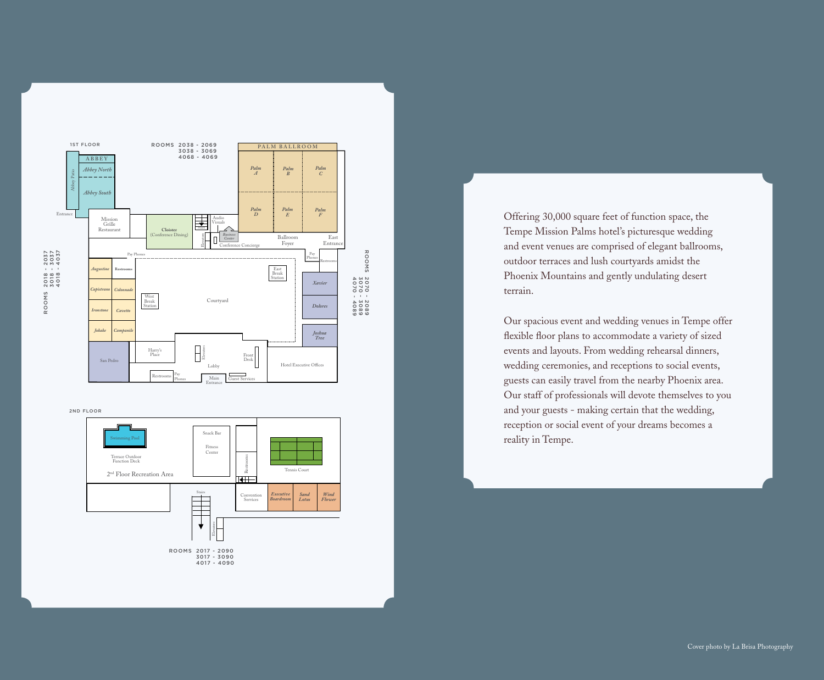

2ND FLOOR



Offering 30,000 square feet of function space, the Tempe Mission Palms hotel's picturesque wedding and event venues are comprised of elegant ballrooms, outdoor terraces and lush courtyards amidst the Phoenix Mountains and gently undulating desert terrain.

Our spacious event and wedding venues in Tempe offer flexible floor plans to accommodate a variety of sized events and layouts. From wedding rehearsal dinners, wedding ceremonies, and receptions to social events, guests can easily travel from the nearby Phoenix area. Our staff of professionals will devote themselves to you and your guests - making certain that the wedding, reception or social event of your dreams becomes a reality in Tempe.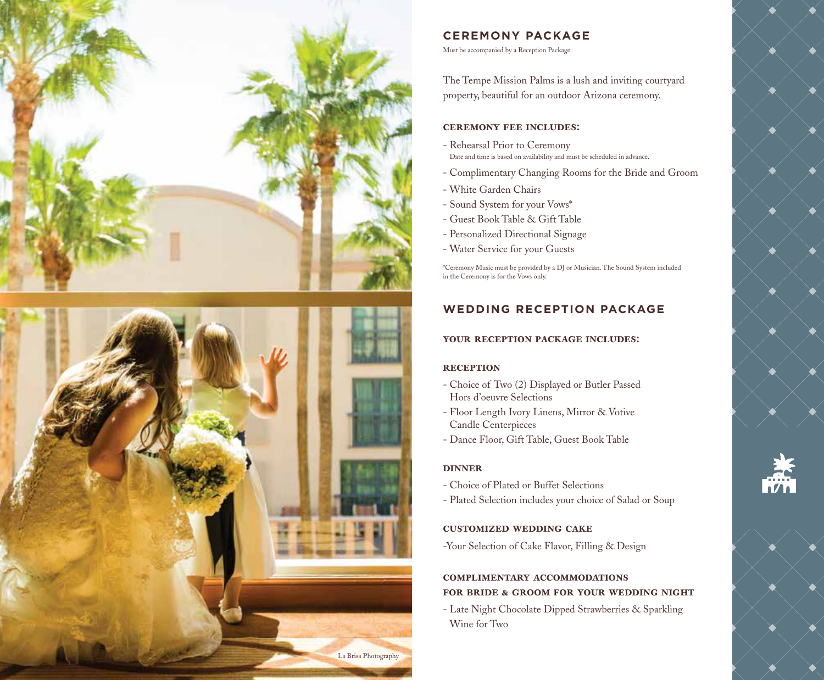



### **CEREMONY PACKAGE**

Must be accompanied by a Reception Package

The Tempe Mission Palms is a lush and inviting courtyard property, beautiful for an outdoor Arizona ceremony.

### ceremony fee includes:

- Rehearsal Prior to Ceremony Date and time is based on availability and must be scheduled in advance.
- Complimentary Changing Rooms for the Bride and Groom
- White Garden Chairs
- Sound System for your Vows\*
- Guest Book Table & Gift Table
- Personalized Directional Signage
- Water Service for your Guests

\*Ceremony Music must be provided by a DJ or Musician. The Sound System included in the Ceremony is for the Vows only.

# **WEDDING RECEPTION PACKAGE**

### your reception package includes:

### **RECEPTION**

- Choice of Two (2) Displayed or Butler Passed Hors d'oeuvre Selections
- Floor Length Ivory Linens, Mirror & Votive Candle Centerpieces
- Dance Floor, Gift Table, Guest Book Table

### dinner

- Choice of Plated or Buffet Selections
- Plated Selection includes your choice of Salad or Soup

### customized wedding cake

-Your Selection of Cake Flavor, Filling & Design

# complimentary accommodations for bride & groom for your wedding night

- Late Night Chocolate Dipped Strawberries & Sparkling Wine for Two

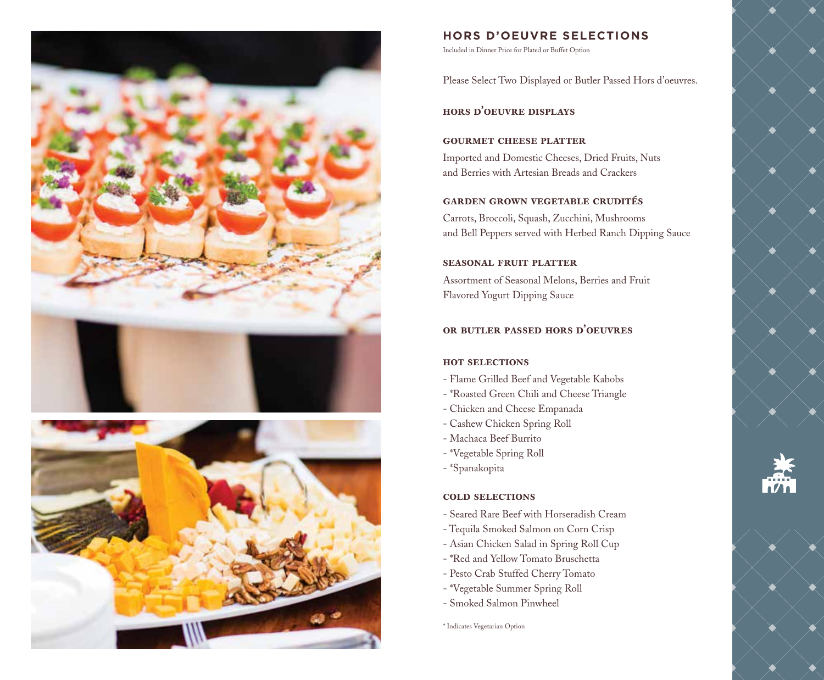



### **HORS D'OEUVRE SELECTIONS**

Included in Dinner Price for Plated or Buffet Option

Please Select Two Displayed or Butler Passed Hors d'oeuvres.

hors d'oeuvre displays

### gourmet cheese platter

Imported and Domestic Cheeses, Dried Fruits, Nuts and Berries with Artesian Breads and Crackers

### garden grown vegetable crudités

Carrots, Broccoli, Squash, Zucchini, Mushrooms and Bell Peppers served with Herbed Ranch Dipping Sauce

### seasonal fruit platter

Assortment of Seasonal Melons, Berries and Fruit Flavored Yogurt Dipping Sauce

# or butler passed hors d'oeuvres

### hot selections

- Flame Grilled Beef and Vegetable Kabobs
- \*Roasted Green Chili and Cheese Triangle
- Chicken and Cheese Empanada
- Cashew Chicken Spring Roll
- Machaca Beef Burrito
- \*Vegetable Spring Roll
- \*Spanakopita

#### cold selections

- Seared Rare Beef with Horseradish Cream
- Tequila Smoked Salmon on Corn Crisp
- Asian Chicken Salad in Spring Roll Cup
- \*Red and Yellow Tomato Bruschetta
- Pesto Crab Stuffed Cherry Tomato
- \*Vegetable Summer Spring Roll
- Smoked Salmon Pinwheel

\* Indicates Vegetarian Option



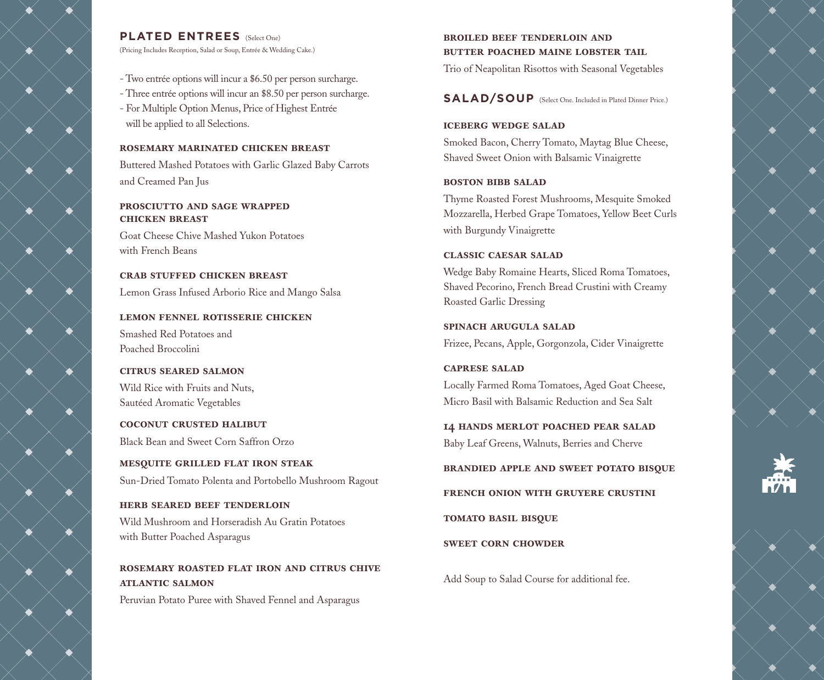

# **PLATED ENTREES** (Select One)

(Pricing Includes Reception, Salad or Soup, Entrée & Wedding Cake.)

- Two entrée options will incur a \$6.50 per person surcharge.
- Three entrée options will incur an \$8.50 per person surcharge.
- For Multiple Option Menus, Price of Highest Entrée will be applied to all Selections.

## rosemary marinated chicken breast

Buttered Mashed Potatoes with Garlic Glazed Baby Carrots and Creamed Pan Jus

# prosciutto and sage wrapped chicken breast

Goat Cheese Chive Mashed Yukon Potatoes with French Beans

crab stuffed chicken breast Lemon Grass Infused Arborio Rice and Mango Salsa

lemon fennel rotisserie chicken Smashed Red Potatoes and Poached Broccolini

citrus seared salmon Wild Rice with Fruits and Nuts, Sautéed Aromatic Vegetables

coconut crusted halibut Black Bean and Sweet Corn Saffron Orzo

mesquite grilled flat iron steak Sun-Dried Tomato Polenta and Portobello Mushroom Ragout

herb seared beef tenderloin Wild Mushroom and Horseradish Au Gratin Potatoes with Butter Poached Asparagus

# rosemary roasted flat iron and citrus chive atlantic salmon

Peruvian Potato Puree with Shaved Fennel and Asparagus

# broiled beef tenderloin and BUTTER POACHED MAINE LOBSTER TAIL

Trio of Neapolitan Risottos with Seasonal Vegetables

**SALAD/SOUP** (Select One. Included in Plated Dinner Price.)

# iceberg wedge salad

Smoked Bacon, Cherry Tomato, Maytag Blue Cheese, Shaved Sweet Onion with Balsamic Vinaigrette

# boston bibb salad

Thyme Roasted Forest Mushrooms, Mesquite Smoked Mozzarella, Herbed Grape Tomatoes, Yellow Beet Curls with Burgundy Vinaigrette

# classic caesar salad

Wedge Baby Romaine Hearts, Sliced Roma Tomatoes, Shaved Pecorino, French Bread Crustini with Creamy Roasted Garlic Dressing

spinach arugula salad Frizee, Pecans, Apple, Gorgonzola, Cider Vinaigrette

caprese salad Locally Farmed Roma Tomatoes, Aged Goat Cheese, Micro Basil with Balsamic Reduction and Sea Salt

14 hands merlot poached pear salad Baby Leaf Greens, Walnuts, Berries and Cherve

brandied apple and sweet potato bisque

french onion with gruyere crustini

tomato basil bisque

sweet corn chowder

Add Soup to Salad Course for additional fee.





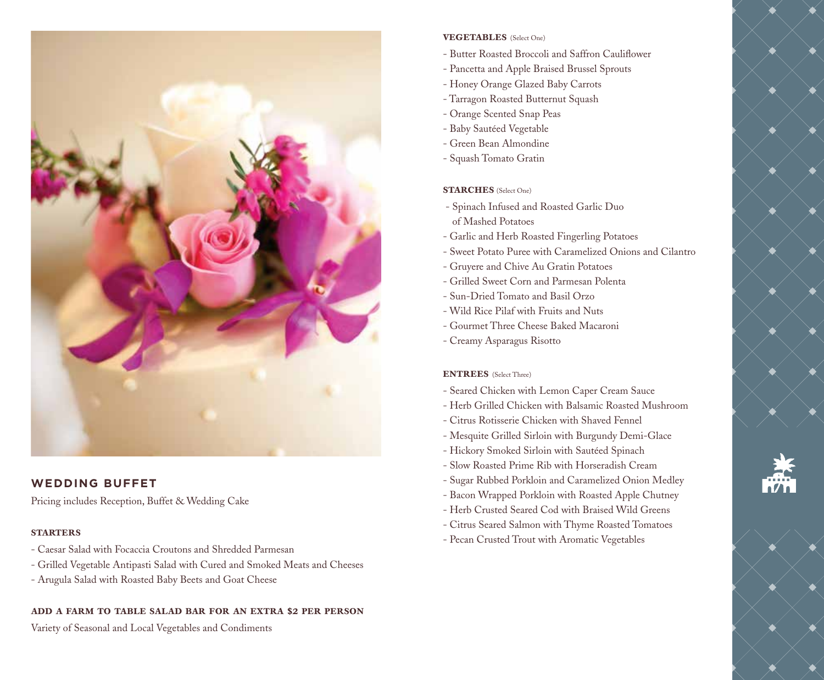

# **WEDDING BUFFET**

Pricing includes Reception, Buffet & Wedding Cake

# **STARTERS**

- Caesar Salad with Focaccia Croutons and Shredded Parmesan
- Grilled Vegetable Antipasti Salad with Cured and Smoked Meats and Cheeses
- Arugula Salad with Roasted Baby Beets and Goat Cheese

# add a farm to table salad bar for an extra \$2 per person

Variety of Seasonal and Local Vegetables and Condiments

# **VEGETABLES** (Select One)

- Butter Roasted Broccoli and Saffron Cauliflower
- Pancetta and Apple Braised Brussel Sprouts
- Honey Orange Glazed Baby Carrots
- Tarragon Roasted Butternut Squash
- Orange Scented Snap Peas
- Baby Sautéed Vegetable
- Green Bean Almondine
- Squash Tomato Gratin

# STARCHES (Select One)

- Spinach Infused and Roasted Garlic Duo of Mashed Potatoes
- Garlic and Herb Roasted Fingerling Potatoes
- Sweet Potato Puree with Caramelized Onions and Cilantro
- Gruyere and Chive Au Gratin Potatoes
- Grilled Sweet Corn and Parmesan Polenta
- Sun-Dried Tomato and Basil Orzo
- Wild Rice Pilaf with Fruits and Nuts
- Gourmet Three Cheese Baked Macaroni
- Creamy Asparagus Risotto

# **ENTREES** (Select Three)

- Seared Chicken with Lemon Caper Cream Sauce
- Herb Grilled Chicken with Balsamic Roasted Mushroom
- Citrus Rotisserie Chicken with Shaved Fennel
- Mesquite Grilled Sirloin with Burgundy Demi-Glace
- Hickory Smoked Sirloin with Sautéed Spinach
- Slow Roasted Prime Rib with Horseradish Cream
- Sugar Rubbed Porkloin and Caramelized Onion Medley
- Bacon Wrapped Porkloin with Roasted Apple Chutney
- Herb Crusted Seared Cod with Braised Wild Greens
- Citrus Seared Salmon with Thyme Roasted Tomatoes
- Pecan Crusted Trout with Aromatic Vegetables

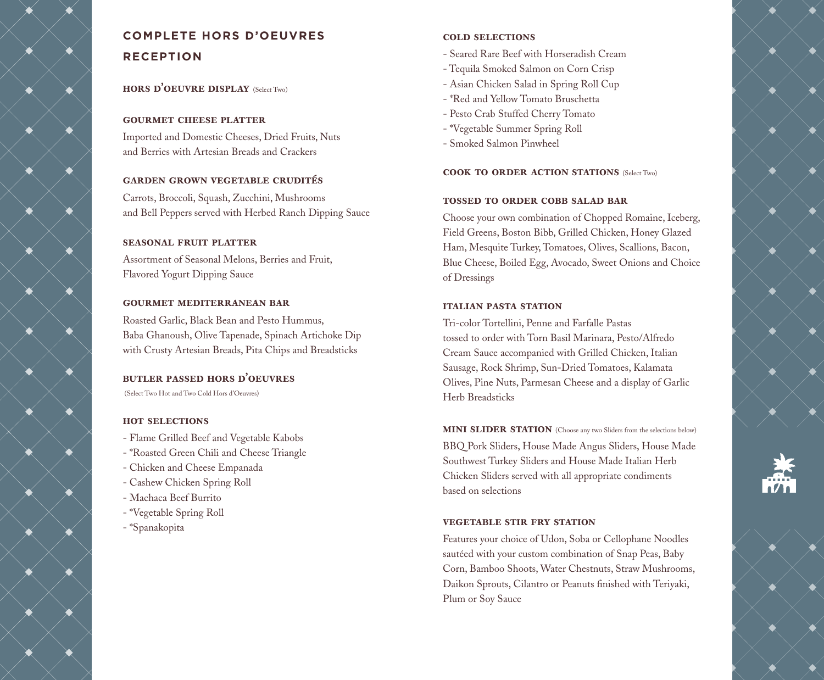# **COMPLETE HORS D'OEUVRES RECEPTION**

# hors d'oeuvre display (Select Two)

### gourmet cheese platter

Imported and Domestic Cheeses, Dried Fruits, Nuts and Berries with Artesian Breads and Crackers

## garden grown vegetable crudités

Carrots, Broccoli, Squash, Zucchini, Mushrooms and Bell Peppers served with Herbed Ranch Dipping Sauce

## seasonal fruit platter

Assortment of Seasonal Melons, Berries and Fruit, Flavored Yogurt Dipping Sauce

## gourmet mediterranean bar

Roasted Garlic, Black Bean and Pesto Hummus, Baba Ghanoush, Olive Tapenade, Spinach Artichoke Dip with Crusty Artesian Breads, Pita Chips and Breadsticks

# butler passed hors d'oeuvres

(Select Two Hot and Two Cold Hors d'Oeuvres)

## hot selections

- Flame Grilled Beef and Vegetable Kabobs
- \*Roasted Green Chili and Cheese Triangle
- Chicken and Cheese Empanada
- Cashew Chicken Spring Roll
- Machaca Beef Burrito
- \*Vegetable Spring Roll
- \*Spanakopita

# cold selections

- Seared Rare Beef with Horseradish Cream
- Tequila Smoked Salmon on Corn Crisp
- Asian Chicken Salad in Spring Roll Cup
- \*Red and Yellow Tomato Bruschetta
- Pesto Crab Stuffed Cherry Tomato
- \*Vegetable Summer Spring Roll
- Smoked Salmon Pinwheel

## cook to order action stations (Select Two)

### tossed to order cobb salad bar

Choose your own combination of Chopped Romaine, Iceberg, Field Greens, Boston Bibb, Grilled Chicken, Honey Glazed Ham, Mesquite Turkey, Tomatoes, Olives, Scallions, Bacon, Blue Cheese, Boiled Egg, Avocado, Sweet Onions and Choice of Dressings

## italian pasta station

Tri-color Tortellini, Penne and Farfalle Pastas tossed to order with Torn Basil Marinara, Pesto/Alfredo Cream Sauce accompanied with Grilled Chicken, Italian Sausage, Rock Shrimp, Sun-Dried Tomatoes, Kalamata Olives, Pine Nuts, Parmesan Cheese and a display of Garlic Herb Breadsticks

MINI SLIDER STATION (Choose any two Sliders from the selections below) BBQ Pork Sliders, House Made Angus Sliders, House Made Southwest Turkey Sliders and House Made Italian Herb Chicken Sliders served with all appropriate condiments based on selections

# vegetable stir fry station

Features your choice of Udon, Soba or Cellophane Noodles sautéed with your custom combination of Snap Peas, Baby Corn, Bamboo Shoots, Water Chestnuts, Straw Mushrooms, Daikon Sprouts, Cilantro or Peanuts finished with Teriyaki, Plum or Soy Sauce



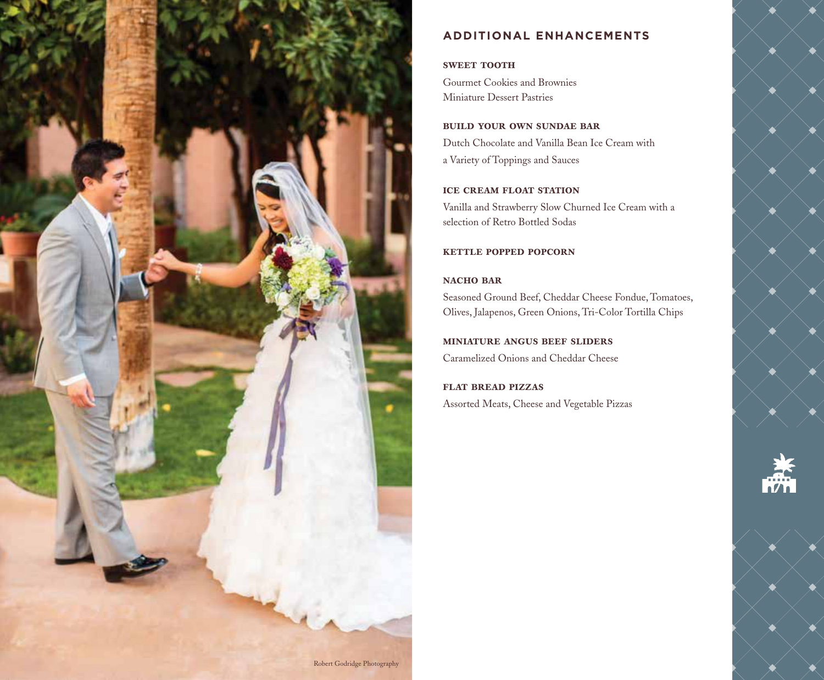

# **ADDITIONAL ENHANCEMENTS**

## **SWEET TOOTH**

Gourmet Cookies and Brownies Miniature Dessert Pastries

### build your own sundae bar

Dutch Chocolate and Vanilla Bean Ice Cream with a Variety of Toppings and Sauces

## ice cream float station

Vanilla and Strawberry Slow Churned Ice Cream with a selection of Retro Bottled Sodas

## kettle popped popcorn

## NACHO BAR

Seasoned Ground Beef, Cheddar Cheese Fondue, Tomatoes, Olives, Jalapenos, Green Onions, Tri-Color Tortilla Chips

# miniature angus beef sliders

Caramelized Onions and Cheddar Cheese

flat bread pizzas Assorted Meats, Cheese and Vegetable Pizzas